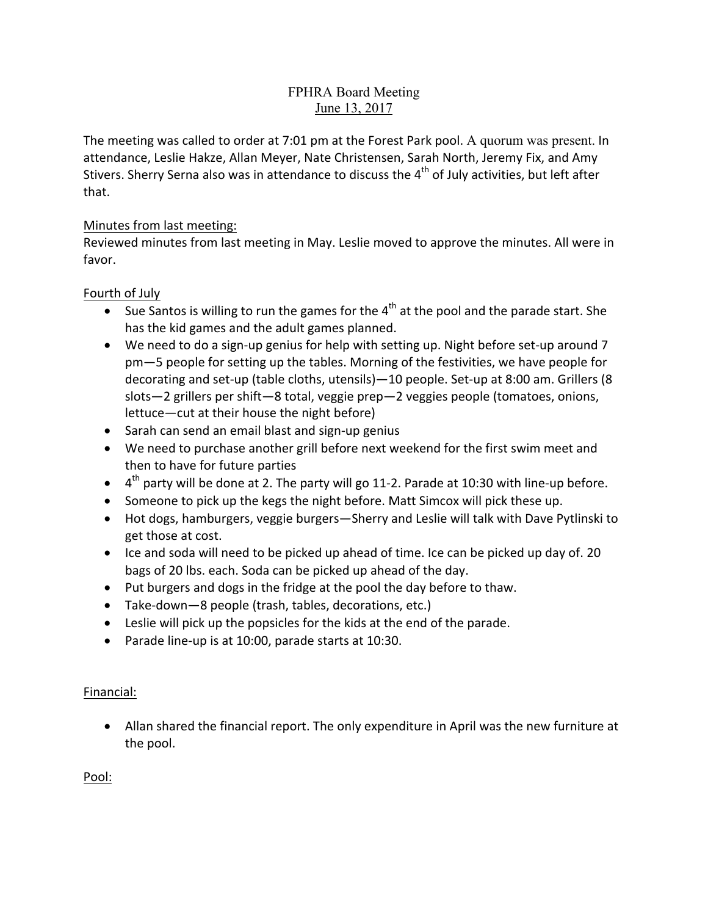### FPHRA Board Meeting June 13, 2017

The meeting was called to order at 7:01 pm at the Forest Park pool. A quorum was present. In attendance, Leslie Hakze, Allan Meyer, Nate Christensen, Sarah North, Jeremy Fix, and Amy Stivers. Sherry Serna also was in attendance to discuss the  $4<sup>th</sup>$  of July activities, but left after that.

### Minutes from last meeting:

Reviewed minutes from last meeting in May. Leslie moved to approve the minutes. All were in favor.

### Fourth of July

- Sue Santos is willing to run the games for the  $4^{th}$  at the pool and the parade start. She has the kid games and the adult games planned.
- We need to do a sign-up genius for help with setting up. Night before set-up around 7 pm–5 people for setting up the tables. Morning of the festivities, we have people for decorating and set-up (table cloths, utensils)—10 people. Set-up at 8:00 am. Grillers (8 slots-2 grillers per shift-8 total, veggie prep-2 veggies people (tomatoes, onions, lettuce—cut at their house the night before)
- Sarah can send an email blast and sign-up genius
- We need to purchase another grill before next weekend for the first swim meet and then to have for future parties
- $4<sup>th</sup>$  party will be done at 2. The party will go 11-2. Parade at 10:30 with line-up before.
- Someone to pick up the kegs the night before. Matt Simcox will pick these up.
- Hot dogs, hamburgers, veggie burgers—Sherry and Leslie will talk with Dave Pytlinski to get those at cost.
- Ice and soda will need to be picked up ahead of time. Ice can be picked up day of. 20 bags of 20 lbs. each. Soda can be picked up ahead of the day.
- Put burgers and dogs in the fridge at the pool the day before to thaw.
- Take-down-8 people (trash, tables, decorations, etc.)
- $\bullet$  Leslie will pick up the popsicles for the kids at the end of the parade.
- Parade line-up is at 10:00, parade starts at 10:30.

# Financial:

• Allan shared the financial report. The only expenditure in April was the new furniture at the pool.

Pool: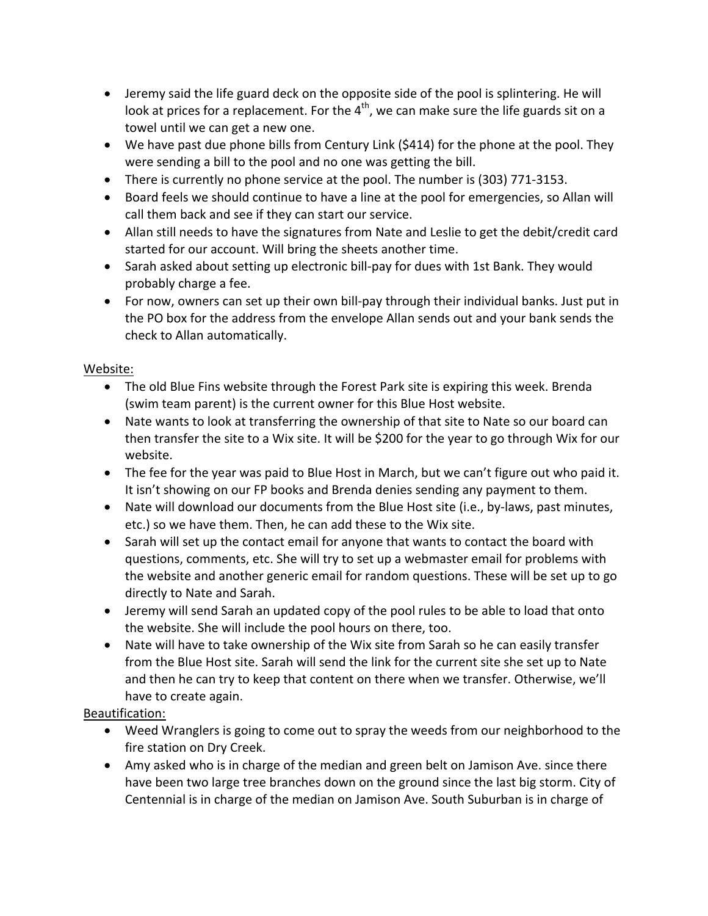- Jeremy said the life guard deck on the opposite side of the pool is splintering. He will look at prices for a replacement. For the  $4<sup>th</sup>$ , we can make sure the life guards sit on a towel until we can get a new one.
- We have past due phone bills from Century Link  $(5414)$  for the phone at the pool. They were sending a bill to the pool and no one was getting the bill.
- There is currently no phone service at the pool. The number is  $(303)$  771-3153.
- Board feels we should continue to have a line at the pool for emergencies, so Allan will call them back and see if they can start our service.
- Allan still needs to have the signatures from Nate and Leslie to get the debit/credit card started for our account. Will bring the sheets another time.
- Sarah asked about setting up electronic bill-pay for dues with 1st Bank. They would probably charge a fee.
- For now, owners can set up their own bill-pay through their individual banks. Just put in the PO box for the address from the envelope Allan sends out and your bank sends the check to Allan automatically.

# Website:

- The old Blue Fins website through the Forest Park site is expiring this week. Brenda (swim team parent) is the current owner for this Blue Host website.
- Nate wants to look at transferring the ownership of that site to Nate so our board can then transfer the site to a Wix site. It will be \$200 for the year to go through Wix for our website.
- The fee for the year was paid to Blue Host in March, but we can't figure out who paid it. It isn't showing on our FP books and Brenda denies sending any payment to them.
- Nate will download our documents from the Blue Host site (i.e., by-laws, past minutes, etc.) so we have them. Then, he can add these to the Wix site.
- Sarah will set up the contact email for anyone that wants to contact the board with questions, comments, etc. She will try to set up a webmaster email for problems with the website and another generic email for random questions. These will be set up to go directly to Nate and Sarah.
- Jeremy will send Sarah an updated copy of the pool rules to be able to load that onto the website. She will include the pool hours on there, too.
- Nate will have to take ownership of the Wix site from Sarah so he can easily transfer from the Blue Host site. Sarah will send the link for the current site she set up to Nate and then he can try to keep that content on there when we transfer. Otherwise, we'll have to create again.

# Beautification:

- Weed Wranglers is going to come out to spray the weeds from our neighborhood to the fire station on Dry Creek.
- Amy asked who is in charge of the median and green belt on Jamison Ave. since there have been two large tree branches down on the ground since the last big storm. City of Centennial is in charge of the median on Jamison Ave. South Suburban is in charge of